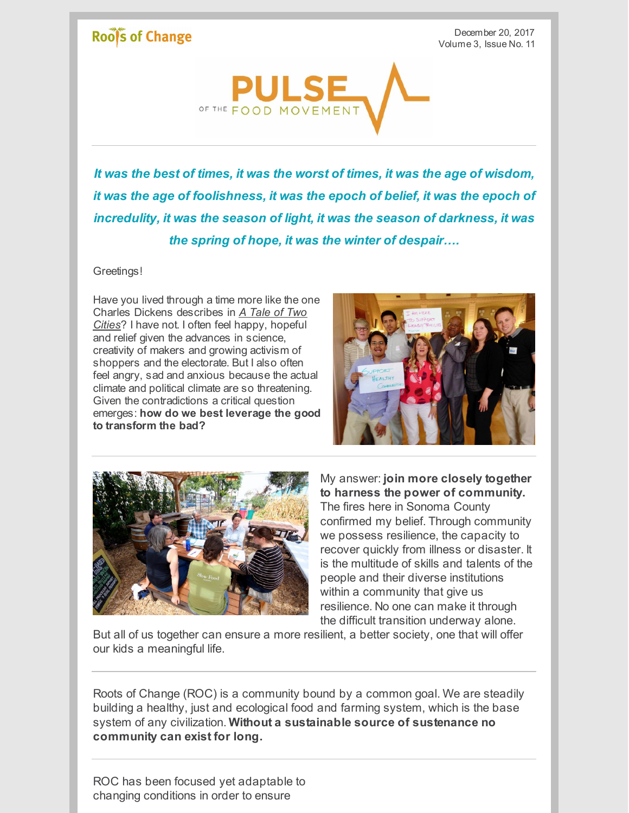## Roof's of Change

December 20, 2017 Volume 3, Issue No. 11



*It was the best of times, it was the worst of times, it was the age of wisdom, it was the age of foolishness, it was the epoch of belief, it was the epoch of incredulity, it was the season of light, it was the season of darkness, it was the spring of hope, it was the winter of despair….*

Greetings!

Have you lived through a time more like the one Charles Dickens describes in *A Tale of Two Cities*? I have not. I often feel happy, hopeful and relief given the advances in science, creativity of makers and growing activism of shoppers and the electorate. But I also often feel angry, sad and anxious because the actual climate and political climate are so threatening. Given the contradictions a critical question emerges: **how do we best leverage the good to transform the bad?**





My answer: **join more closely together to harness the power of community.** The fires here in Sonoma County confirmed my belief. Through community we possess resilience, the capacity to recover quickly from illness or disaster. It is the multitude of skills and talents of the people and their diverse institutions within a community that give us resilience. No one can make it through the difficult transition underway alone.

But all of us together can ensure a more resilient, a better society, one that will offer our kids a meaningful life.

Roots of Change (ROC) is a community bound by a common goal. We are steadily building a healthy, just and ecological food and farming system, which is the base system of any civilization. **Without a sustainable source of sustenance no community can exist for long.**

ROC has been focused yet adaptable to changing conditions in order to ensure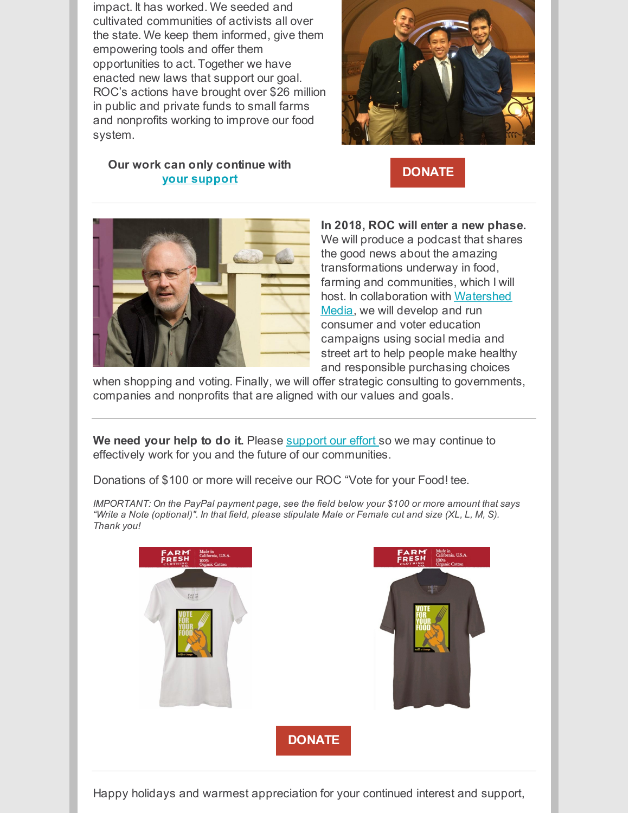impact. It has worked. We seeded and cultivated communities of activists all over the state. We keep them informed, give them empowering tools and offer them opportunities to act. Together we have enacted new laws that support our goal. ROC's actions have brought over \$26 million in public and private funds to small farms and nonprofits working to improve our food system.

## **Our work can only continue with your [support](http://www.rootsofchange.org/get-involved/donate)**





**In 2018, ROC will enter a new phase.** We will produce a podcast that shares the good news about the amazing transformations underway in food, farming and communities, which I will host. In [collaboration](http://watershedmedia.org/main/) with Watershed Media, we will develop and run consumer and voter education campaigns using social media and street art to help people make healthy and responsible purchasing choices

when shopping and voting. Finally, we will offer strategic consulting to governments, companies and nonprofits that are aligned with our values and goals.

**We need your help to do it.** Please [support](http://www.rootsofchange.org/get-involved/donate) our effort so we may continue to effectively work for you and the future of our communities.

Donations of \$100 or more will receive our ROC "Vote for your Food! tee.

*IMPORTANT: On the PayPal payment page, see the field below your \$100 or more amount that says* "Write a Note (optional)". In that field, please stipulate Male or Female cut and size (XL, L, M, S). *Thank you!*



Happy holidays and warmest appreciation for your continued interest and support,